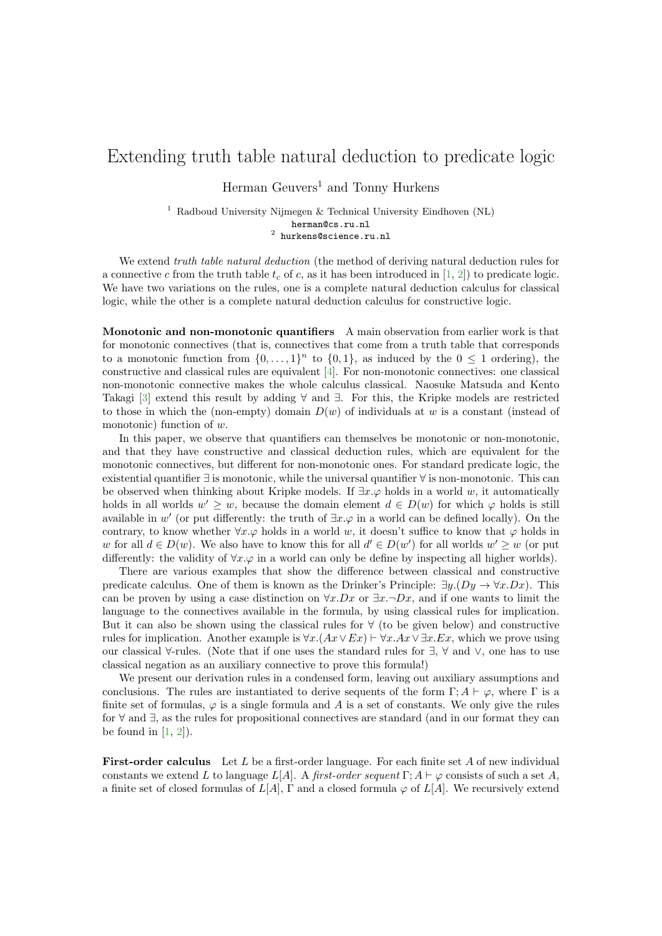## Extending truth table natural deduction to predicate logic

Herman Geuvers<sup>1</sup> and Tonny Hurkens

<sup>1</sup> Radboud University Nijmegen & Technical University Eindhoven (NL) herman@cs.ru.nl  $<sup>2</sup>$  hurkens@science.ru.nl</sup>

We extend *truth table natural deduction* (the method of deriving natural deduction rules for a connective c from the truth table  $t_c$  of c, as it has been introduced in [\[1,](#page-2-0) [2\]](#page-2-1)) to predicate logic. We have two variations on the rules, one is a complete natural deduction calculus for classical logic, while the other is a complete natural deduction calculus for constructive logic.

Monotonic and non-monotonic quantifiers A main observation from earlier work is that for monotonic connectives (that is, connectives that come from a truth table that corresponds to a monotonic function from  $\{0, \ldots, 1\}^n$  to  $\{0, 1\}$ , as induced by the  $0 \leq 1$  ordering), the constructive and classical rules are equivalent [\[4\]](#page-2-2). For non-monotonic connectives: one classical non-monotonic connective makes the whole calculus classical. Naosuke Matsuda and Kento Takagi [\[3\]](#page-2-3) extend this result by adding ∀ and ∃. For this, the Kripke models are restricted to those in which the (non-empty) domain  $D(w)$  of individuals at w is a constant (instead of monotonic) function of w.

In this paper, we observe that quantifiers can themselves be monotonic or non-monotonic, and that they have constructive and classical deduction rules, which are equivalent for the monotonic connectives, but different for non-monotonic ones. For standard predicate logic, the existential quantifier ∃ is monotonic, while the universal quantifier ∀ is non-monotonic. This can be observed when thinking about Kripke models. If  $\exists x.\varphi$  holds in a world w, it automatically holds in all worlds  $w' \geq w$ , because the domain element  $d \in D(w)$  for which  $\varphi$  holds is still available in w' (or put differently: the truth of  $\exists x.\varphi$  in a world can be defined locally). On the contrary, to know whether  $\forall x.\varphi$  holds in a world w, it doesn't suffice to know that  $\varphi$  holds in w for all  $d \in D(w)$ . We also have to know this for all  $d' \in D(w')$  for all worlds  $w' \geq w$  (or put differently: the validity of  $\forall x.\varphi$  in a world can only be define by inspecting all higher worlds).

There are various examples that show the difference between classical and constructive predicate calculus. One of them is known as the Drinker's Principle:  $\exists y.(Dy \rightarrow \forall x.Dx)$ . This can be proven by using a case distinction on  $\forall x.Dx$  or  $\exists x.\neg Dx$ , and if one wants to limit the language to the connectives available in the formula, by using classical rules for implication. But it can also be shown using the classical rules for  $\forall$  (to be given below) and constructive rules for implication. Another example is  $\forall x.(Ax \vee Ex) \vdash \forall x. Ax \vee \exists x. Ex$ , which we prove using our classical ∀-rules. (Note that if one uses the standard rules for ∃, ∀ and ∨, one has to use classical negation as an auxiliary connective to prove this formula!)

We present our derivation rules in a condensed form, leaving out auxiliary assumptions and conclusions. The rules are instantiated to derive sequents of the form  $\Gamma; A \vdash \varphi$ , where  $\Gamma$  is a finite set of formulas,  $\varphi$  is a single formula and A is a set of constants. We only give the rules for ∀ and ∃, as the rules for propositional connectives are standard (and in our format they can be found in  $[1, 2]$  $[1, 2]$ .

**First-order calculus** Let L be a first-order language. For each finite set A of new individual constants we extend L to language  $L[A]$ . A first-order sequent  $\Gamma$ ;  $A \vdash \varphi$  consists of such a set A, a finite set of closed formulas of  $L[A], \Gamma$  and a closed formula  $\varphi$  of  $L[A]$ . We recursively extend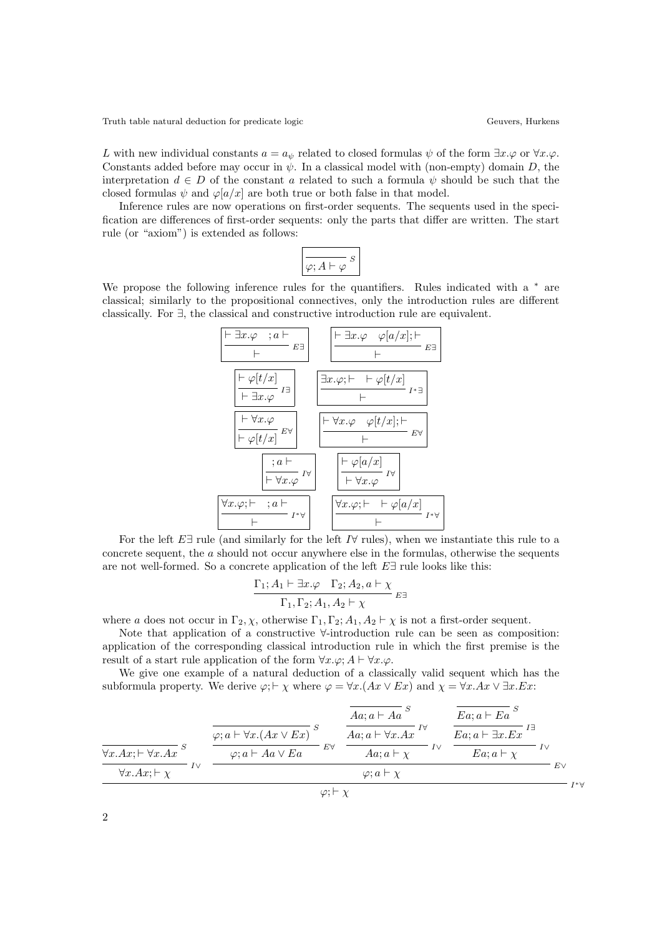Truth table natural deduction for predicate logic Geuvers, Hurkens Geuvers, Hurkens

L with new individual constants  $a = a_{\psi}$  related to closed formulas  $\psi$  of the form  $\exists x.\varphi$  or  $\forall x.\varphi$ . Constants added before may occur in  $\psi$ . In a classical model with (non-empty) domain D, the interpretation  $d \in D$  of the constant a related to such a formula  $\psi$  should be such that the closed formulas  $\psi$  and  $\varphi[a/x]$  are both true or both false in that model.

Inference rules are now operations on first-order sequents. The sequents used in the specification are differences of first-order sequents: only the parts that differ are written. The start rule (or "axiom") is extended as follows:

$$
\boxed{\frac{\ }{\varphi;A\vdash\varphi\;}s}
$$

We propose the following inference rules for the quantifiers. Rules indicated with a  $*$  are classical; similarly to the propositional connectives, only the introduction rules are different classically. For ∃, the classical and constructive introduction rule are equivalent.



For the left  $E \exists$  rule (and similarly for the left I $\forall$  rules), when we instantiate this rule to a concrete sequent, the a should not occur anywhere else in the formulas, otherwise the sequents are not well-formed. So a concrete application of the left  $E\exists$  rule looks like this:

$$
\frac{\Gamma_1; A_1 \vdash \exists x. \varphi \quad \Gamma_2; A_2, a \vdash \chi}{\Gamma_1, \Gamma_2; A_1, A_2 \vdash \chi} E^{\exists}
$$

where a does not occur in  $\Gamma_2$ ,  $\chi$ , otherwise  $\Gamma_1$ ,  $\Gamma_2$ ;  $A_1$ ,  $A_2 \vdash \chi$  is not a first-order sequent.

Note that application of a constructive ∀-introduction rule can be seen as composition: application of the corresponding classical introduction rule in which the first premise is the result of a start rule application of the form  $\forall x.\varphi$ ;  $A \vdash \forall x.\varphi$ .

We give one example of a natural deduction of a classically valid sequent which has the subformula property. We derive  $\varphi$ ;  $\vdash \chi$  where  $\varphi = \forall x. (Ax \lor Ex)$  and  $\chi = \forall x. Ax \lor \exists x. Ex$ :

$$
\frac{\frac{\overline{A}a; a \vdash Aa}{\forall x.Ax; \vdash \forall x.Ax}}{x} \xrightarrow{\varphi; a \vdash \forall x.(Ax \lor Ex)} s
$$
\n
$$
\frac{\overline{A}a; a \vdash Aa}{\forall a:a \vdash \forall x.Ax} \xrightarrow{\text{F}\forall x.(Ax \lor Ex)} s
$$
\n
$$
\frac{\overline{A}a; a \vdash \forall x.Ax}{Aa; a \vdash \chi} \xrightarrow{\text{F}\forall x.(Ax \lor Ex)} s
$$
\n
$$
\frac{\overline{E}a; a \vdash Ex}{Ea; a \vdash \chi} \xrightarrow{\text{F}\forall x.(Ax \lor Ex)} s
$$
\n
$$
\frac{\overline{E}a; a \vdash Ex}{Ea; a \vdash \chi} \xrightarrow{\text{F}\forall x.(Ax \lor Ex)} s
$$
\n
$$
\frac{\overline{E}a; a \vdash \exists x.Ex}{Ea; a \vdash \chi} \xrightarrow{\text{F}\forall x.(Ax \lor Ex)} s
$$
\n
$$
\frac{\overline{E}a; a \vdash \exists x.Ex}{Ea; a \vdash \chi} \xrightarrow{\text{F}\forall x.(Ax \lor Ex)} s
$$
\n
$$
\frac{\overline{E}a; a \vdash \exists x.Ex}{Ea; a \vdash \chi} \xrightarrow{\text{F}\forall x.(Ax \lor Ex)} s
$$